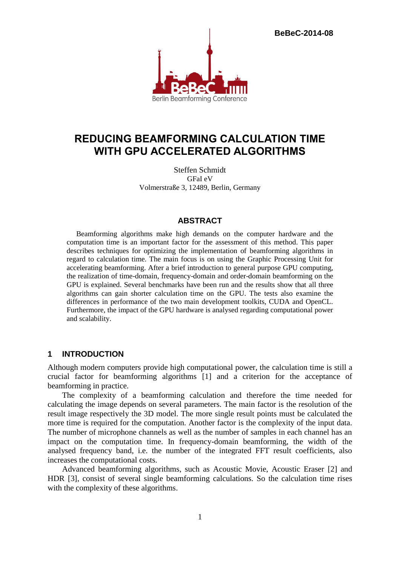**BeBeC-2014-08**



# **REDUCING BEAMFORMING CALCULATION TIME WITH GPU ACCELERATED ALGORITHMS**

Steffen Schmidt GFaI eV Volmerstraße 3, 12489, Berlin, Germany

#### **ABSTRACT**

Beamforming algorithms make high demands on the computer hardware and the computation time is an important factor for the assessment of this method. This paper describes techniques for optimizing the implementation of beamforming algorithms in regard to calculation time. The main focus is on using the Graphic Processing Unit for accelerating beamforming. After a brief introduction to general purpose GPU computing, the realization of time-domain, frequency-domain and order-domain beamforming on the GPU is explained. Several benchmarks have been run and the results show that all three algorithms can gain shorter calculation time on the GPU. The tests also examine the differences in performance of the two main development toolkits, CUDA and OpenCL. Furthermore, the impact of the GPU hardware is analysed regarding computational power and scalability.

#### **1 INTRODUCTION**

Although modern computers provide high computational power, the calculation time is still a crucial factor for beamforming algorithms [1] and a criterion for the acceptance of beamforming in practice.

The complexity of a beamforming calculation and therefore the time needed for calculating the image depends on several parameters. The main factor is the resolution of the result image respectively the 3D model. The more single result points must be calculated the more time is required for the computation. Another factor is the complexity of the input data. The number of microphone channels as well as the number of samples in each channel has an impact on the computation time. In frequency-domain beamforming, the width of the analysed frequency band, i.e. the number of the integrated FFT result coefficients, also increases the computational costs.

Advanced beamforming algorithms, such as Acoustic Movie, Acoustic Eraser [2] and HDR [3], consist of several single beamforming calculations. So the calculation time rises with the complexity of these algorithms.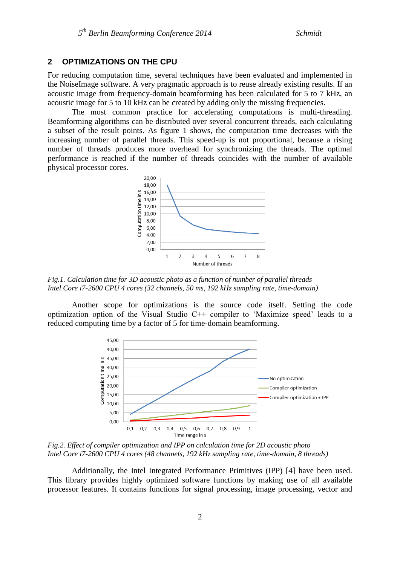## **2 OPTIMIZATIONS ON THE CPU**

For reducing computation time, several techniques have been evaluated and implemented in the NoiseImage software. A very pragmatic approach is to reuse already existing results. If an acoustic image from frequency-domain beamforming has been calculated for 5 to 7 kHz, an acoustic image for 5 to 10 kHz can be created by adding only the missing frequencies.

The most common practice for accelerating computations is multi-threading. Beamforming algorithms can be distributed over several concurrent threads, each calculating a subset of the result points. As figure 1 shows, the computation time decreases with the increasing number of parallel threads. This speed-up is not proportional, because a rising number of threads produces more overhead for synchronizing the threads. The optimal performance is reached if the number of threads coincides with the number of available physical processor cores.



*Fig.1. Calculation time for 3D acoustic photo as a function of number of parallel threads Intel Core i7-2600 CPU 4 cores (32 channels, 50 ms, 192 kHz sampling rate, time-domain)*

Another scope for optimizations is the source code itself. Setting the code optimization option of the Visual Studio C++ compiler to 'Maximize speed' leads to a reduced computing time by a factor of 5 for time-domain beamforming.



*Fig.2. Effect of compiler optimization and IPP on calculation time for 2D acoustic photo Intel Core i7-2600 CPU 4 cores (48 channels, 192 kHz sampling rate, time-domain, 8 threads)*

Additionally, the Intel Integrated Performance Primitives (IPP) [4] have been used. This library provides highly optimized software functions by making use of all available processor features. It contains functions for signal processing, image processing, vector and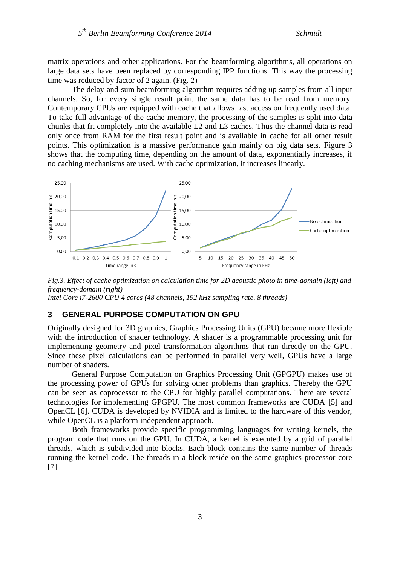matrix operations and other applications. For the beamforming algorithms, all operations on large data sets have been replaced by corresponding IPP functions. This way the processing time was reduced by factor of 2 again. (Fig. 2)

The delay-and-sum beamforming algorithm requires adding up samples from all input channels. So, for every single result point the same data has to be read from memory. Contemporary CPUs are equipped with cache that allows fast access on frequently used data. To take full advantage of the cache memory, the processing of the samples is split into data chunks that fit completely into the available L2 and L3 caches. Thus the channel data is read only once from RAM for the first result point and is available in cache for all other result points. This optimization is a massive performance gain mainly on big data sets. Figure 3 shows that the computing time, depending on the amount of data, exponentially increases, if no caching mechanisms are used. With cache optimization, it increases linearly.



*Fig.3. Effect of cache optimization on calculation time for 2D acoustic photo in time-domain (left) and frequency-domain (right)*

*Intel Core i7-2600 CPU 4 cores (48 channels, 192 kHz sampling rate, 8 threads)*

# **3 GENERAL PURPOSE COMPUTATION ON GPU**

Originally designed for 3D graphics, Graphics Processing Units (GPU) became more flexible with the introduction of shader technology. A shader is a programmable processing unit for implementing geometry and pixel transformation algorithms that run directly on the GPU. Since these pixel calculations can be performed in parallel very well, GPUs have a large number of shaders.

General Purpose Computation on Graphics Processing Unit (GPGPU) makes use of the processing power of GPUs for solving other problems than graphics. Thereby the GPU can be seen as coprocessor to the CPU for highly parallel computations. There are several technologies for implementing GPGPU. The most common frameworks are CUDA [5] and OpenCL [6]. CUDA is developed by NVIDIA and is limited to the hardware of this vendor, while OpenCL is a platform-independent approach.

Both frameworks provide specific programming languages for writing kernels, the program code that runs on the GPU. In CUDA, a kernel is executed by a grid of parallel threads, which is subdivided into blocks. Each block contains the same number of threads running the kernel code. The threads in a block reside on the same graphics processor core [7].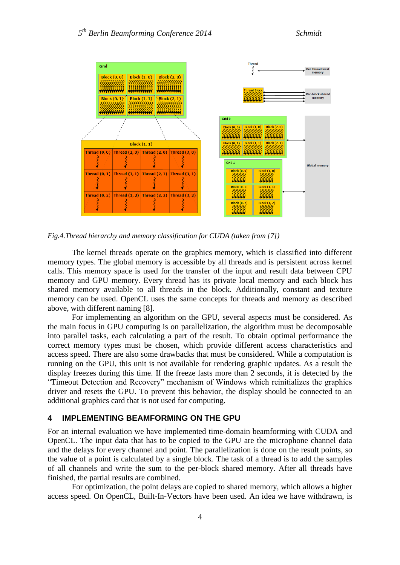

*Fig.4.Thread hierarchy and memory classification for CUDA (taken from [7])*

The kernel threads operate on the graphics memory, which is classified into different memory types. The global memory is accessible by all threads and is persistent across kernel calls. This memory space is used for the transfer of the input and result data between CPU memory and GPU memory. Every thread has its private local memory and each block has shared memory available to all threads in the block. Additionally, constant and texture memory can be used. OpenCL uses the same concepts for threads and memory as described above, with different naming [8].

For implementing an algorithm on the GPU, several aspects must be considered. As the main focus in GPU computing is on parallelization, the algorithm must be decomposable into parallel tasks, each calculating a part of the result. To obtain optimal performance the correct memory types must be chosen, which provide different access characteristics and access speed. There are also some drawbacks that must be considered. While a computation is running on the GPU, this unit is not available for rendering graphic updates. As a result the display freezes during this time. If the freeze lasts more than 2 seconds, it is detected by the "Timeout Detection and Recovery" mechanism of Windows which reinitializes the graphics driver and resets the GPU. To prevent this behavior, the display should be connected to an additional graphics card that is not used for computing.

#### **4 IMPLEMENTING BEAMFORMING ON THE GPU**

For an internal evaluation we have implemented time-domain beamforming with CUDA and OpenCL. The input data that has to be copied to the GPU are the microphone channel data and the delays for every channel and point. The parallelization is done on the result points, so the value of a point is calculated by a single block. The task of a thread is to add the samples of all channels and write the sum to the per-block shared memory. After all threads have finished, the partial results are combined.

For optimization, the point delays are copied to shared memory, which allows a higher access speed. On OpenCL, Built-In-Vectors have been used. An idea we have withdrawn, is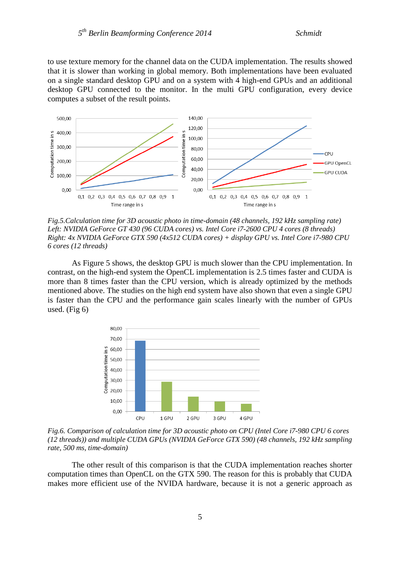to use texture memory for the channel data on the CUDA implementation. The results showed that it is slower than working in global memory. Both implementations have been evaluated on a single standard desktop GPU and on a system with 4 high-end GPUs and an additional desktop GPU connected to the monitor. In the multi GPU configuration, every device computes a subset of the result points.



*Fig.5.Calculation time for 3D acoustic photo in time-domain (48 channels, 192 kHz sampling rate) Left: NVIDIA GeForce GT 430 (96 CUDA cores) vs. Intel Core i7-2600 CPU 4 cores (8 threads) Right: 4x NVIDIA GeForce GTX 590 (4x512 CUDA cores) + display GPU vs. Intel Core i7-980 CPU 6 cores (12 threads)*

As Figure 5 shows, the desktop GPU is much slower than the CPU implementation. In contrast, on the high-end system the OpenCL implementation is 2.5 times faster and CUDA is more than 8 times faster than the CPU version, which is already optimized by the methods mentioned above. The studies on the high end system have also shown that even a single GPU is faster than the CPU and the performance gain scales linearly with the number of GPUs used. (Fig 6)



*Fig.6. Comparison of calculation time for 3D acoustic photo on CPU (Intel Core i7-980 CPU 6 cores (12 threads)) and multiple CUDA GPUs (NVIDIA GeForce GTX 590) (48 channels, 192 kHz sampling rate, 500 ms, time-domain)*

The other result of this comparison is that the CUDA implementation reaches shorter computation times than OpenCL on the GTX 590. The reason for this is probably that CUDA makes more efficient use of the NVIDA hardware, because it is not a generic approach as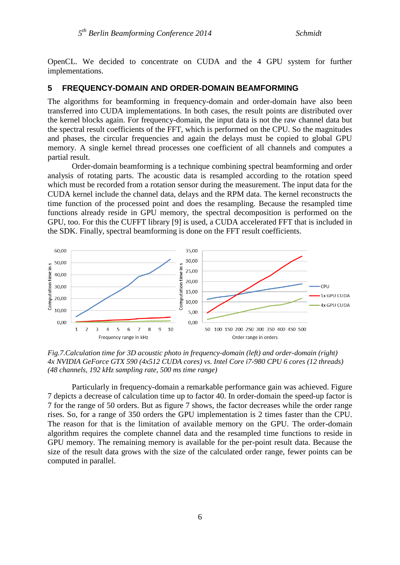OpenCL. We decided to concentrate on CUDA and the 4 GPU system for further implementations.

# **5 FREQUENCY-DOMAIN AND ORDER-DOMAIN BEAMFORMING**

The algorithms for beamforming in frequency-domain and order-domain have also been transferred into CUDA implementations. In both cases, the result points are distributed over the kernel blocks again. For frequency-domain, the input data is not the raw channel data but the spectral result coefficients of the FFT, which is performed on the CPU. So the magnitudes and phases, the circular frequencies and again the delays must be copied to global GPU memory. A single kernel thread processes one coefficient of all channels and computes a partial result.

Order-domain beamforming is a technique combining spectral beamforming and order analysis of rotating parts. The acoustic data is resampled according to the rotation speed which must be recorded from a rotation sensor during the measurement. The input data for the CUDA kernel include the channel data, delays and the RPM data. The kernel reconstructs the time function of the processed point and does the resampling. Because the resampled time functions already reside in GPU memory, the spectral decomposition is performed on the GPU, too. For this the CUFFT library [9] is used, a CUDA accelerated FFT that is included in the SDK. Finally, spectral beamforming is done on the FFT result coefficients.



*Fig.7.Calculation time for 3D acoustic photo in frequency-domain (left) and order-domain (right) 4x NVIDIA GeForce GTX 590 (4x512 CUDA cores) vs. Intel Core i7-980 CPU 6 cores (12 threads) (48 channels, 192 kHz sampling rate, 500 ms time range)*

Particularly in frequency-domain a remarkable performance gain was achieved. Figure 7 depicts a decrease of calculation time up to factor 40. In order-domain the speed-up factor is 7 for the range of 50 orders. But as figure 7 shows, the factor decreases while the order range rises. So, for a range of 350 orders the GPU implementation is 2 times faster than the CPU. The reason for that is the limitation of available memory on the GPU. The order-domain algorithm requires the complete channel data and the resampled time functions to reside in GPU memory. The remaining memory is available for the per-point result data. Because the size of the result data grows with the size of the calculated order range, fewer points can be computed in parallel.